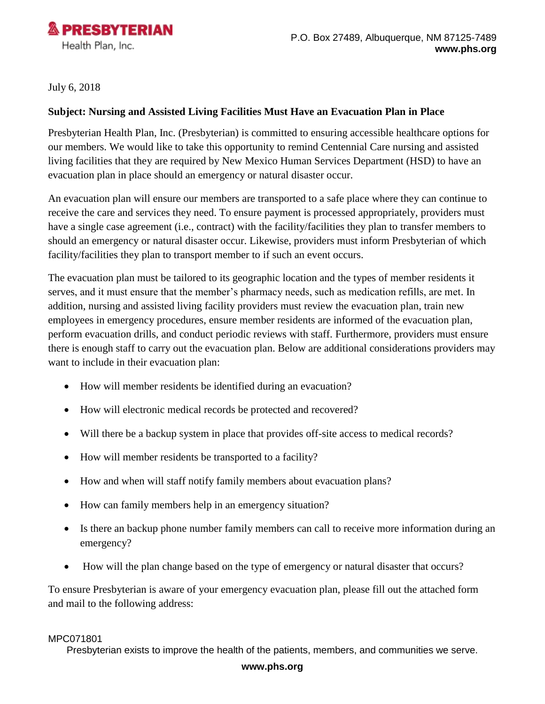

July 6, 2018

### **Subject: Nursing and Assisted Living Facilities Must Have an Evacuation Plan in Place**

Presbyterian Health Plan, Inc. (Presbyterian) is committed to ensuring accessible healthcare options for our members. We would like to take this opportunity to remind Centennial Care nursing and assisted living facilities that they are required by New Mexico Human Services Department (HSD) to have an evacuation plan in place should an emergency or natural disaster occur.

An evacuation plan will ensure our members are transported to a safe place where they can continue to receive the care and services they need. To ensure payment is processed appropriately, providers must have a single case agreement (i.e., contract) with the facility/facilities they plan to transfer members to should an emergency or natural disaster occur. Likewise, providers must inform Presbyterian of which facility/facilities they plan to transport member to if such an event occurs.

The evacuation plan must be tailored to its geographic location and the types of member residents it serves, and it must ensure that the member's pharmacy needs, such as medication refills, are met. In addition, nursing and assisted living facility providers must review the evacuation plan, train new employees in emergency procedures, ensure member residents are informed of the evacuation plan, perform evacuation drills, and conduct periodic reviews with staff. Furthermore, providers must ensure there is enough staff to carry out the evacuation plan. Below are additional considerations providers may want to include in their evacuation plan:

- How will member residents be identified during an evacuation?
- How will electronic medical records be protected and recovered?
- Will there be a backup system in place that provides of f-site access to medical records?
- How will member residents be transported to a facility?
- How and when will staff notify family members about evacuation plans?
- How can family members help in an emergency situation?
- Is there an backup phone number family members can call to receive more information during an emergency?
- How will the plan change based on the type of emergency or natural disaster that occurs?

To ensure Presbyterian is aware of your emergency evacuation plan, please fill out the attached form and mail to the following address:

#### MPC071801

Presbyterian exists to improve the health of the patients, members, and communities we serve.

#### **www.phs.org**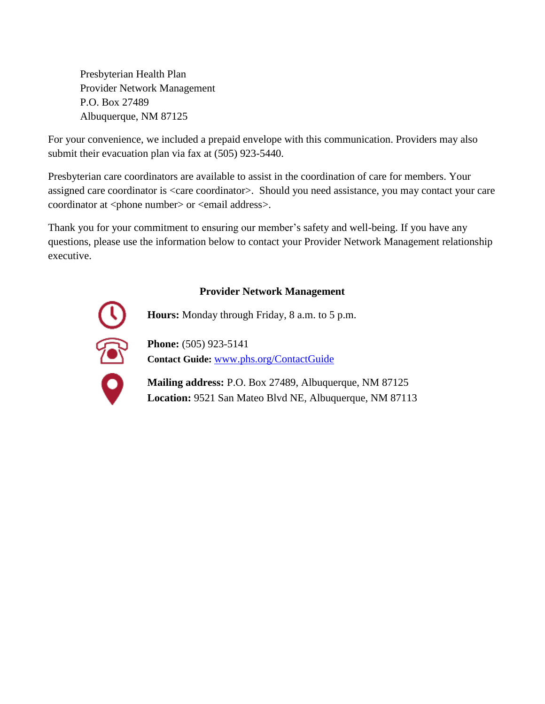Presbyterian Health Plan Provider Network Management P.O. Box 27489 Albuquerque, NM 87125

For your convenience, we included a prepaid envelope with this communication. Providers may also submit their evacuation plan via fax at (505) 923-5440.

Presbyterian care coordinators are available to assist in the coordination of care for members. Your assigned care coordinator is <care coordinator>. Should you need assistance, you may contact your care coordinator at <phone number> or <email address>.

Thank you for your commitment to ensuring our member's safety and well-being. If you have any questions, please use the information below to contact your Provider Network Management relationship executive.

## **Provider Network Management**



**Hours:** Monday through Friday, 8 a.m. to 5 p.m.

**Phone:** (505) 923-5141 **Contact Guide:** [www.phs.org/ContactGuide](http://www.phs.org/ContactGuide)

**Mailing address:** P.O. Box 27489, Albuquerque, NM 87125 **Location:** 9521 San Mateo Blvd NE, Albuquerque, NM 87113